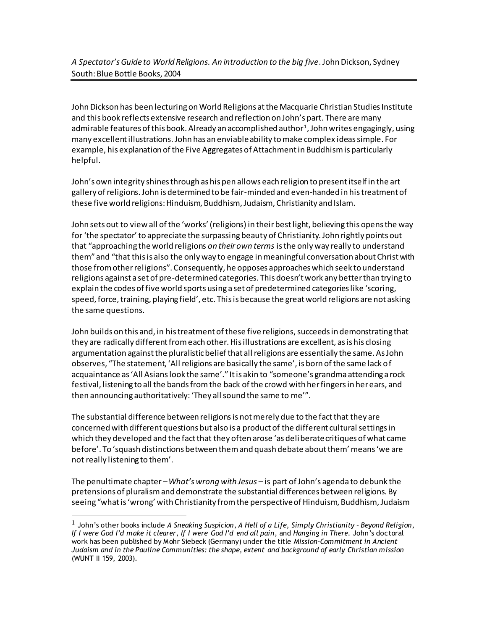John Dickson has been lecturing on World Religions at the Macquarie Christian Studies Institute and this book reflects extensive research and reflection on John's part. There are many admirable features of this book. Already an accomplished author $^{\text{1}}$ , John writes engagingly, using many excellent illustrations. John has an enviable ability to make complex ideas simple. For example, his explanation of the Five Aggregates of Attachment in Buddhism is particularly helpful.

John's own integrity shines through as his pen allows each religion to present itself in the art gallery of religions. John is determined to be fair-minded and even-handed in his treatment of these five world religions: Hinduism, Buddhism, Judaism, Christianity and Islam.

John sets out to view all of the 'works' (religions) in their best light, believing this opens the way for 'the spectator' to appreciate the surpassing beauty of Christianity. John rightly points out that "approaching the world religions *on their own terms* is the only way really to understand them" and "that this is also the only way to engage in meaningful conversation about Christ with those from other religions". Consequently, he opposes approaches which seek to understand religions against a set of pre-determined categories. This doesn't work any better than trying to explain the codes of five world sports using a set of predetermined categories like 'scoring, speed, force, training, playing field', etc. This is because the great world religions are not asking the same questions.

John builds on this and, in his treatment of these five religions, succeeds in demonstrating that they are radically different from each other. His illustrations are excellent, as is his closing argumentation against the pluralistic belief that all religions are essentially the same. As John observes, "The statement, 'All religions are basically the same', is born of the same lack of acquaintance as 'All Asians look the same'." It is akin to "someone's grandma attending a rock festival, listening to all the bands from the back of the crowd with her fingers in her ears, and then announcing authoritatively: 'They all sound the same to me'".

The substantial difference between religions is not merely due to the fact that they are concerned with different questions but also is a product of the different cultural settings in which they developed and the fact that they often arose 'as deliberate critiques of what came before'. To 'squash distinctions between them and quash debate about them' means 'we are not really listening to them'.

The penultimate chapter –*What's wrong with Jesus* – is part of John's agenda to debunk the pretensions of pluralism and demonstrate the substantial differences between religions. By seeing "what is 'wrong' with Christianity from the perspective of Hinduism, Buddhism, Judaism

l

<sup>1</sup> John's other books include *A Sneaking Suspicion*, *A Hell of a Life*, *Simply Christianity – Beyond Religion*, *If I were God I'd make it clearer*, *If I were God I'd end all pain*, and *Hanging in There.* John's doctoral work has been published by Mohr Siebeck (Germany) under the title *Mission-Commitment in Ancient Judaism and in the Pauline Communities: the shape, extent and background of early Christian mission* (WUNT II 159, 2003).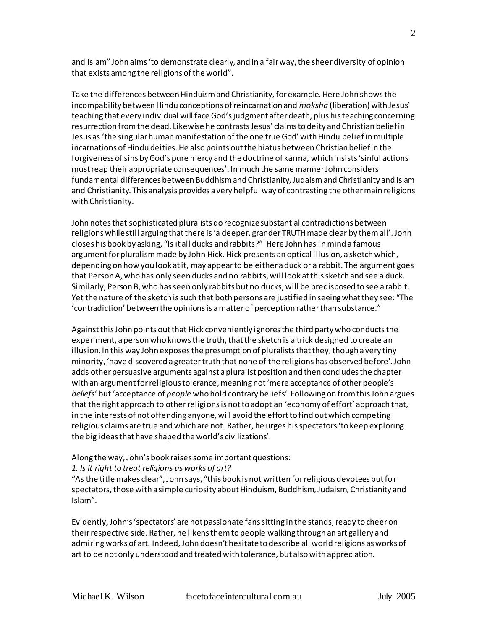and Islam" John aims 'to demonstrate clearly, and in a fair way, the sheer diversity of opinion that exists among the religions of the world".

Take the differences between Hinduism and Christianity, for example. Here John shows the incompability between Hindu conceptions of reincarnation and *moksha* (liberation) with Jesus' teaching that every individual will face God's judgment after death, plus his teaching concerning resurrection from the dead. Likewise he contrasts Jesus' claims to deity and Christian belief in Jesus as 'the singular human manifestation of the one true God' with Hindu belief in multiple incarnations of Hindu deities. He also points out the hiatus between Christian belief in the forgiveness of sins by God's pure mercy and the doctrine of karma, which insists 'sinful actions must reap their appropriate consequences'. In much the same manner John considers fundamental differences between Buddhism and Christianity, Judaism and Christianity and Islam and Christianity. This analysis provides a very helpful way of contrasting the other main religions with Christianity.

John notes that sophisticated pluralists do recognize substantial contradictions between religions while still arguing that there is 'a deeper, grander TRUTH made clear by them all'. John closes his book by asking, "Is it all ducks and rabbits?" Here John has in mind a famous argument for pluralism made by John Hick. Hick presents an optical illusion, a sketch which, depending on how you look at it, may appear to be either a duck or a rabbit. The argument goes that Person A, who has only seen ducks and no rabbits, will look at this sketch and see a duck. Similarly, Person B, who has seen only rabbits but no ducks, will be predisposed to see a rabbit. Yet the nature of the sketch is such that both persons are justified in seeing what they see: "The 'contradiction' between the opinions is a matter of perception rather than substance."

Against this John points out that Hick conveniently ignores the third party who conducts the experiment, a person who knows the truth, that the sketch is a trick designed to create an illusion. In this way John exposes the presumption of pluralists that they, though a very tiny minority, 'have discovered a greater truth that none of the religions has observed before'. John adds other persuasive arguments against a pluralist position and then concludes the chapter with an argument for religious tolerance, meaning not 'mere acceptance of other people's *beliefs*' but 'acceptance of *people* who hold contrary beliefs'. Following on from this John argues that the right approach to other religions is not to adopt an 'economy of effort' approach that, in the interests of not offending anyone, will avoid the effort to find out which competing religious claims are true and which are not. Rather, he urges his spectators 'to keep exploring the big ideas that have shaped the world's civilizations'.

## Along the way, John's book raises some important questions:

## *1. Is it right to treat religions as works of art?*

"As the title makes clear", John says, "this book is not written for religious devotees but for spectators, those with a simple curiosity about Hinduism, Buddhism, Judaism, Christianity and Islam".

Evidently, John's 'spectators' are not passionate fans sitting in the stands, ready to cheer on their respective side. Rather, he likens them to people walking through an art gallery and admiring works of art. Indeed, John doesn't hesitate to describe all world religions as works of art to be not only understood and treated with tolerance, but also with appreciation.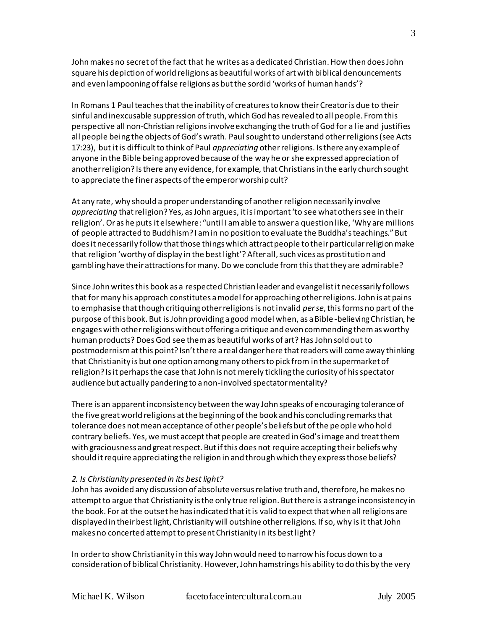John makes no secret of the fact that he writes as a dedicated Christian. How then does John square his depiction of world religions as beautiful works of art with biblical denouncements and even lampooning of false religions as but the sordid 'works of human hands'?

In Romans 1 Paul teaches that the inability of creatures to know their Creator is due to their sinful and inexcusable suppression of truth, which God has revealed to all people. From this perspective all non-Christian religions involve exchanging the truth of God for a lie and justifies all people being the objects of God's wrath. Paul sought to understand other religions (see Acts 17:23), but it is difficult to think of Paul *appreciating* other religions. Is there any example of anyone in the Bible being approved because of the way he or she expressed appreciation of another religion? Is there any evidence, for example, that Christians in the early church sought to appreciate the finer aspects of the emperor worship cult?

At any rate, why should a proper understanding of another religion necessarily involve *appreciating* that religion? Yes, as John argues, it is important 'to see what others see in their religion'. Or as he puts it elsewhere: "until I am able to answer a question like, 'Why are millions of people attracted to Buddhism? I am in no position to evaluate the Buddha's teachings." But does it necessarily follow that those things which attract people to their particular religion make that religion 'worthy of display in the best light'? After all, such vices as prostitution and gambling have their attractions for many. Do we conclude from this that they are admirable?

Since John writes this book as a respected Christian leader and evangelist it necessarily follows that for many his approach constitutes a model for approaching other religions. John is at pains to emphasise that though critiquing other religions is not invalid *per se*, this forms no part of the purpose of this book. But is John providing a good model when, as a Bible -believing Christian, he engages with otherreligions without offering a critique and even commending them as worthy human products? Does God see them as beautiful works of art? Has John sold out to postmodernism at this point? Isn't there a real danger here that readers will come away thinking that Christianity is but one option among many others to pick from in the supermarket of religion? Is it perhaps the case that John is not merely tickling the curiosity of his spectator audience but actually pandering to a non-involved spectator mentality?

There is an apparent inconsistency between the way John speaks of encouraging tolerance of the five great world religions at the beginning of the book and his concluding remarks that tolerance does not mean acceptance of other people's beliefs but of the people who hold contrary beliefs. Yes, we must accept that people are created in God's image and treat them with graciousness and great respect. But if this does not require accepting their beliefs why should it require appreciating the religion in and through which they express those beliefs?

## *2. Is Christianity presented in its best light?*

John has avoided any discussion of absolute versus relative truth and, therefore, he makes no attempt to argue that Christianity is the only true religion. But there is a strange inconsistency in the book. For at the outset he has indicated that it is valid to expect that when all religions are displayed in their best light, Christianity will outshine other religions. If so, why is it that John makes no concerted attempt to present Christianity in its best light?

In order to show Christianity in this way John would need to narrow his focus down to a consideration of biblical Christianity. However, John hamstrings his ability to do this by the very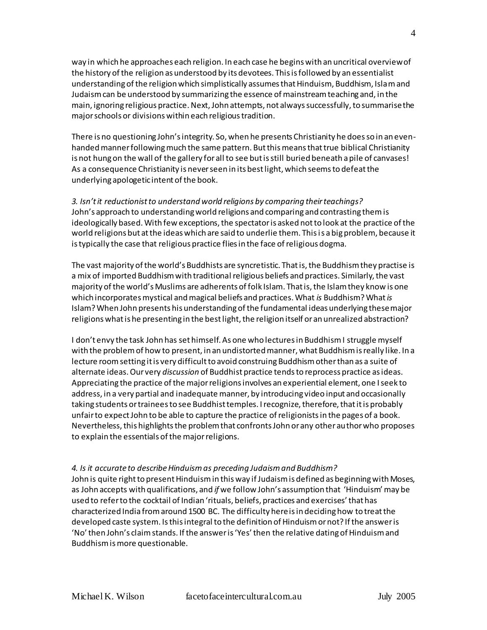way in which he approaches each religion. In each case he begins with an uncritical overview of the history of the religion as understood by its devotees. This is followed by an essentialist understanding of the religion which simplistically assumes that Hinduism, Buddhism, Islam and Judaism can be understood by summarizing the essence of mainstream teaching and, in the main, ignoring religious practice. Next, John attempts, not always successfully, to summarise the major schools or divisions within each religious tradition.

There is no questioning John's integrity. So, when he presents Christianity he does so in an evenhanded manner following much the same pattern. But this means that true biblical Christianity is not hung on the wall of the gallery for all to see but is still buried beneath a pile of canvases! As a consequence Christianity is never seen in its best light, which seems to defeat the underlying apologetic intent of the book.

*3. Isn't it reductionist to understand world religions by comparing their teachings?* John's approach to understanding world religions and comparing and contrasting them is ideologically based. With few exceptions, the spectator is asked not to look at the practice of the world religions but at the ideas which are said to underlie them. This is a big problem, because it is typically the case that religious practice flies in the face of religious dogma.

The vast majority of the world's Buddhists are syncretistic. That is, the Buddhism they practise is a mix of imported Buddhism with traditional religious beliefs and practices. Similarly, the vast majority of the world's Muslims are adherents of folk Islam. That is, the Islam they know is one which incorporates mystical and magical beliefs and practices. What *is* Buddhism? What *is* Islam? When John presents his understanding of the fundamental ideas underlying these major religions what is he presenting in the best light, the religion itself or an unrealized abstraction?

I don't envy the task John has set himself. As one who lectures in Buddhism I struggle myself with the problem of how to present, in an undistorted manner, what Buddhism is really like. In a lecture room setting it is very difficult to avoid construing Buddhism other than as a suite of alternate ideas. Our very *discussion* of Buddhist practice tends to reprocess practice as ideas. Appreciating the practice of the major religions involves an experiential element, one I seek to address, in a very partial and inadequate manner, by introducing video input and occasionally taking students or trainees to see Buddhist temples. I recognize, therefore, that it is probably unfair to expect John to be able to capture the practice of religionists in the pages of a book. Nevertheless, this highlights the problem that confronts John or any other author who proposes to explain the essentials of the major religions.

## *4. Is it accurate to describe Hinduism as preceding Judaism and Buddhism?*

John is quite right to present Hinduism in this way if Judaism is defined as beginning with Moses, as John accepts with qualifications, and *if* we follow John's assumption that 'Hinduism' may be used to refer to the cocktail of Indian 'rituals, beliefs, practices and exercises' that has characterized India from around 1500 BC. The difficulty here is in deciding how to treat the developed caste system. Is this integral to the definition of Hinduism or not? If the answer is 'No' then John's claim stands. If the answer is 'Yes' then the relative dating of Hinduism and Buddhism is more questionable.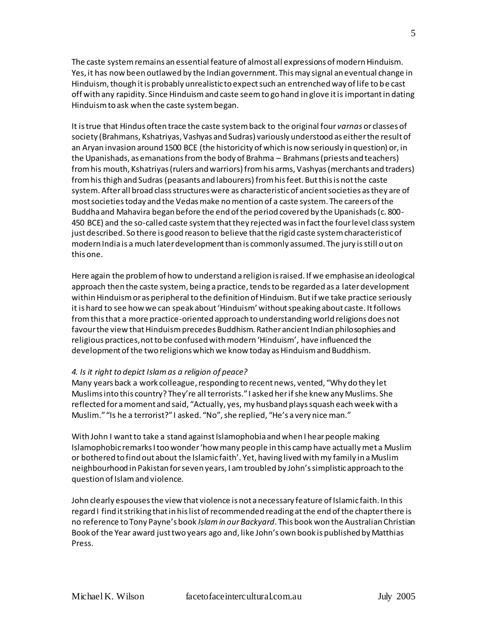The caste system remains an essential feature of almost all expressions of modern Hinduism. Yes, it has now been outlawed by the Indian government. This may signal an eventual change in Hinduism, though it is probably unrealistic to expect such an entrenched way of life to be cast off with any rapidity. Since Hinduism and caste seem to go hand in glove it is important in dating Hinduism to ask when the caste system began.

It is true that Hindus often trace the caste system back to the original four *varnas* or classes of society (Brahmans, Kshatriyas, Vashyas and Sudras) variously understood as either the result of an Aryan invasion around 1500 BCE (the historicity of which is now seriously in question) or, in the Upanishads, as emanations from the body of Brahma – Brahmans (priests and teachers) from his mouth, Kshatriyas (rulers and warriors) from his arms, Vashyas (merchants and traders) from his thigh and Sudras (peasants and labourers) from his feet. But this is not the caste system. After all broad class structures were as characteristic of ancient societies as they are of most societies today and the Vedas make no mention of a caste system. The careers of the Buddha and Mahavira began before the end of the period covered by the Upanishads (c. 800- 450 BCE) and the so-called caste system that they rejected was in fact the four level class system just described. So there is good reason to believe that the rigid caste system characteristic of modern India is a much later development than is commonly assumed. The jury is still out on this one.

Here again the problem of how to understand a religion is raised. If we emphasise an ideological approach then the caste system, being a practice, tends to be regarded as a later development within Hinduism or as peripheral to the definition of Hinduism. But if we take practice seriously it is hard to see how we can speak about 'Hinduism' without speaking about caste. It follows from this that a more practice-oriented approach to understanding world religions does not favour the view that Hinduism precedes Buddhism. Rather ancient Indian philosophies and religious practices, not to be confused with modern 'Hinduism', have influenced the development of the two religions which we know today as Hinduism and Buddhism.

## *4. Is it right to depict Islam as a religion of peace?*

Many years back a work colleague, responding to recent news, vented, "Why do they let Muslims into this country? They're all terrorists." I asked her if she knew any Muslims. She reflected for a moment and said, "Actually, yes, my husband plays squash each week with a Muslim." "Is he a terrorist?" I asked. "No", she replied, "He's a very nice man."

With John I want to take a stand against Islamophobia and when I hear people making Islamophobic remarks I too wonder 'how many people in this camp have actually met a Muslim or bothered to find out about the Islamic faith'. Yet, having lived with my family in a Muslim neighbourhood in Pakistan for seven years, I am troubled by John's simplistic approach to the question of Islam and violence.

John clearly espouses the view that violence is not a necessary feature of Islamic faith. In this regard I find it striking that in his list of recommended reading at the end of the chapter there is no reference to Tony Payne's book *Islam in our Backyard*. This book won the Australian Christian Book of the Year award just two years ago and, like John's own book is published by Matthias Press.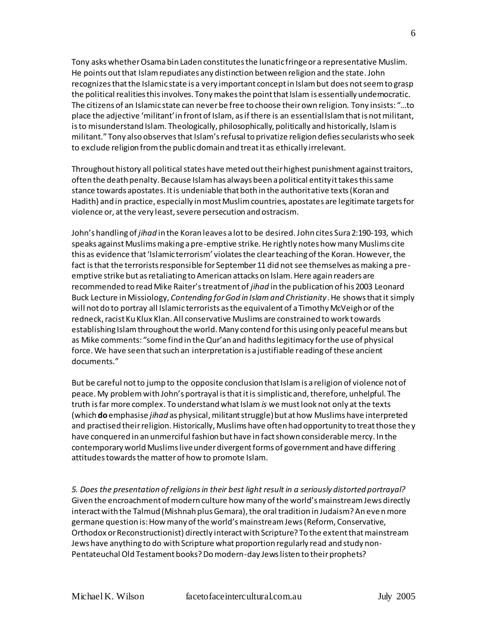Tony asks whether Osama bin Laden constitutes the lunatic fringe or a representative Muslim. He points out that Islam repudiates any distinction between religion and the state. John recognizes that the Islamic state is a very important concept in Islam but does not seem to grasp the political realities this involves. Tony makes the point that Islam is essentially undemocratic. The citizens of an Islamic state can never be free to choose their own religion. Tony insists: "…to place the adjective 'militant' in front of Islam, as if there is an essential Islam that is not militant, is to misunderstand Islam. Theologically, philosophically, politically and historically, Islam is militant." Tony also observes that Islam's refusal to privatize religion defies secularists who seek to exclude religion from the public domain and treat it as ethically irrelevant.

Throughout history all political states have meted out their highest punishment against traitors, often the death penalty. Because Islam has always been a political entity it takes this same stance towards apostates. It is undeniable that both in the authoritative texts (Koran and Hadith) and in practice, especially in most Muslim countries, apostates are legitimate targets for violence or, at the very least, severe persecution and ostracism.

John's handling of *jihad* in the Koran leaves a lot to be desired. John cites Sura 2:190-193, which speaks against Muslims making a pre-emptive strike. He rightly notes how many Muslims cite this as evidence that 'Islamic terrorism' violates the clear teaching of the Koran. However, the fact is that the terrorists responsible for September 11 did not see themselves as making a preemptive strike but as retaliating to American attacks on Islam. Here again readers are recommended to read Mike Raiter's treatment of *jihad* in the publication of his 2003 Leonard Buck Lecture in Missiology, *Contending for God in Islam and Christianity*. He shows that it simply will not do to portray all Islamic terrorists as the equivalent of a Timothy McVeigh or of the redneck, racist Ku Klux Klan. All conservative Muslims are constrained to work towards establishing Islam throughout the world. Many contend for this using only peaceful means but as Mike comments: "some find in the Qur'an and hadiths legitimacy for the use of physical force. We have seen that such an interpretation is a justifiable reading of these ancient documents."

But be careful not to jump to the opposite conclusion that Islam is a religion of violence not of peace. My problem with John's portrayal is that it is simplistic and, therefore, unhelpful. The truth is far more complex. To understand what Islam *is* we must look not only at the texts (which **do**emphasise *jihad* as physical, militant struggle) but at how Muslims have interpreted and practised their religion. Historically, Muslims have often had opportunity to treat those the y have conquered in an unmerciful fashion but have in fact shown considerable mercy. In the contemporary world Muslims live under divergent forms of government and have differing attitudes towards the matter of how to promote Islam.

*5. Does the presentation of religions in their best light result in a seriously distorted portrayal?* Given the encroachment of modern culture how many of the world's mainstream Jews directly interact with the Talmud (Mishnah plus Gemara), the oral tradition in Judaism? An even more germane question is: How many of the world's mainstream Jews (Reform, Conservative, Orthodox or Reconstructionist) directly interact with Scripture? To the extent that mainstream Jews have anything to do with Scripture what proportion regularly read and study non-Pentateuchal Old Testament books? Do modern-day Jews listen to their prophets?